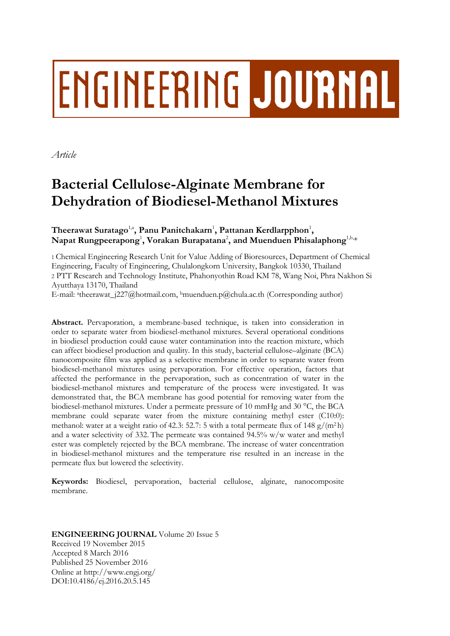# **ENGINEERING JOURNAL**

*Article*

# **Bacterial Cellulose-Alginate Membrane for Dehydration of Biodiesel-Methanol Mixtures**

 $\mathbf{The}$ erawat Suratago $^{1, \mathbf{a}}$ , Panu Panitchakarn $^{1}$ , Pattanan Kerdlarpphon $^{1}$ ,  $\mathbf{N}$ apat  $\mathbf{R}$ ungpeerapong $^1$ ,  $\mathbf{V}$ orakan  $\mathbf{B}$ urapatana $^2$ , and  $\mathbf{M}$ uenduen  $\mathbf{Phisalaphong}^{1,\text{b},\text{c}}$ 

1 Chemical Engineering Research Unit for Value Adding of Bioresources, Department of Chemical Engineering, Faculty of Engineering, Chulalongkorn University, Bangkok 10330, Thailand 2 PTT Research and Technology Institute, Phahonyothin Road KM 78, Wang Noi, Phra Nakhon Si Ayutthaya 13170, Thailand

E-mail: <sup>a</sup>[theerawat\\_j227@hotmail.com,](mailto:atheerawat_j227@hotmail.com) <sup>b</sup>[muenduen.p@chula.ac.th](mailto:muenduen.p@chula.ac.th) (Corresponding author)

**Abstract.** Pervaporation, a membrane-based technique, is taken into consideration in order to separate water from biodiesel-methanol mixtures. Several operational conditions in biodiesel production could cause water contamination into the reaction mixture, which can affect biodiesel production and quality. In this study, bacterial cellulose–alginate (BCA) nanocomposite film was applied as a selective membrane in order to separate water from biodiesel-methanol mixtures using pervaporation. For effective operation, factors that affected the performance in the pervaporation, such as concentration of water in the biodiesel-methanol mixtures and temperature of the process were investigated. It was demonstrated that, the BCA membrane has good potential for removing water from the biodiesel-methanol mixtures. Under a permeate pressure of 10 mmHg and 30 °C, the BCA membrane could separate water from the mixture containing methyl ester (C10:0): methanol: water at a weight ratio of 42.3: 52.7: 5 with a total permeate flux of 148  $g/(m^2 h)$ and a water selectivity of 332. The permeate was contained 94.5% w/w water and methyl ester was completely rejected by the BCA membrane. The increase of water concentration in biodiesel-methanol mixtures and the temperature rise resulted in an increase in the permeate flux but lowered the selectivity.

**Keywords:** Biodiesel, pervaporation, bacterial cellulose, alginate, nanocomposite membrane.

# **ENGINEERING JOURNAL** Volume 20 Issue 5 Received 19 November 2015 Accepted 8 March 2016 Published 25 November 2016 Online at http://www.engj.org/ DOI:10.4186/ej.2016.20.5.145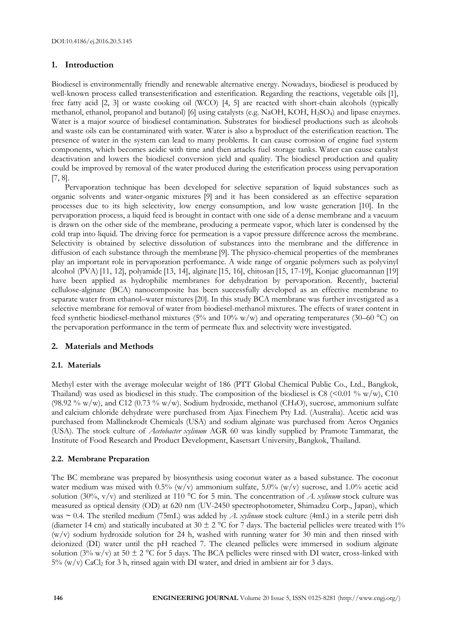# **1. Introduction**

Biodiesel is environmentally friendly and renewable alternative energy. Nowadays, biodiesel is produced by well-known process called transesterification and esterification. Regarding the reactions, vegetable oils [1], free fatty acid [2, 3] or waste cooking oil (WCO) [4, 5] are reacted with short-chain alcohols (typically methanol, ethanol, propanol and butanol) [6] using catalysts (e.g. NaOH, KOH, H2SO4) and lipase enzymes. Water is a major source of biodiesel contamination. Substrates for biodiesel productions such as alcohols and waste oils can be contaminated with water. Water is also a byproduct of the esterification reaction. The presence of water in the system can lead to many problems. It can cause corrosion of engine fuel system components, which becomes acidic with time and then attacks fuel storage tanks. Water can cause catalyst deactivation and lowers the biodiesel conversion yield and quality. The biodiesel production and quality could be improved by removal of the water produced during the esterification process using pervaporation [7, 8].

Pervaporation technique has been developed for selective separation of liquid substances such as organic solvents and water-organic mixtures [9] and it has been considered as an effective separation processes due to its high selectivity, low energy consumption, and low waste generation [10]. In the pervaporation process, a liquid feed is brought in contact with one side of a dense membrane and a vacuum is drawn on the other side of the membrane, producing a permeate vapor, which later is condensed by the cold trap into liquid. The driving force for permeation is a vapor pressure difference across the membrane. Selectivity is obtained by selective dissolution of substances into the membrane and the difference in diffusion of each substance through the membrane [9]. The physico-chemical properties of the membranes play an important role in pervaporation performance. A wide range of organic polymers such as polyvinyl alcohol (PVA) [11, 12], polyamide [13, 14], alginate [15, 16], chitosan [15, 17-19], Konjac glucomannan [19] have been applied as hydrophilic membranes for dehydration by pervaporation. Recently, bacterial cellulose-alginate (BCA) nanocomposite has been successfully developed as an effective membrane to separate water from ethanol–water mixtures[20]. In this study BCA membrane was further investigated as a selective membrane for removal of water from biodiesel-methanol mixtures. The effects of water content in feed synthetic biodiesel-methanol mixtures (5% and 10% w/w) and operating temperatures (30–60 °C) on the pervaporation performance in the term of permeate flux and selectivity were investigated.

# **2. Materials and Methods**

# **2.1. Materials**

Methyl ester with the average molecular weight of 186 (PTT Global Chemical Public Co., Ltd., Bangkok, Thailand) was used as biodiesel in this study. The composition of the biodiesel is C8 (<0.01 % w/w), C10 (98.92 % w/w), and C12 (0.73 % w/w). Sodium hydroxide, methanol (CH<sub>4</sub>O), sucrose, ammonium sulfate and calcium chloride dehydrate were purchased from Ajax Finechem Pty Ltd. (Australia). Acetic acid was purchased from Mallinckrodt Chemicals (USA) and sodium alginate was purchased from Acros Organics (USA). The stock culture of *Acetobacter xylinum* AGR 60 was kindly supplied by Pramote Tammarat, the Institute of Food Research and Product Development, Kasetsart University, Bangkok, Thailand.

# **2.2. Membrane Preparation**

The BC membrane was prepared by biosynthesis using coconut water as a based substance. The coconut water medium was mixed with 0.5% (w/v) ammonium sulfate,  $5.0\%$  (w/v) sucrose, and 1.0% acetic acid solution (30%, v/v) and sterilized at 110 °C for 5 min. The concentration of *A. xylinum* stock culture was measured as optical density (OD) at 620 nm (UV-2450 spectrophotometer, Shimadzu Corp., Japan), which was ~ 0.4. The steriled medium (75mL) was added by *A. xylinum* stock culture (4mL) in a sterile petri dish (diameter 14 cm) and statically incubated at 30  $\pm$  2 °C for 7 days. The bacterial pellicles were treated with 1%  $(w/v)$  sodium hydroxide solution for 24 h, washed with running water for 30 min and then rinsed with deionized (DI) water until the pH reached 7. The cleaned pellicles were immersed in sodium alginate solution (3% w/v) at 50  $\pm$  2 °C for 5 days. The BCA pellicles were rinsed with DI water, cross-linked with  $5\%$  (w/v) CaCl<sub>2</sub> for 3 h, rinsed again with DI water, and dried in ambient air for 3 days.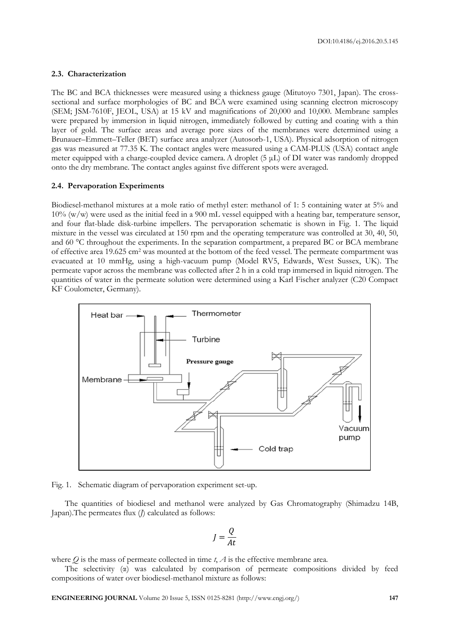#### **2.3. Characterization**

The BC and BCA thicknesses were measured using a thickness gauge (Mitutoyo 7301, Japan). The crosssectional and surface morphologies of BC and BCA were examined using scanning electron microscopy (SEM; JSM-7610F, JEOL, USA) at 15 kV and magnifications of 20,000 and 10,000. Membrane samples were prepared by immersion in liquid nitrogen, immediately followed by cutting and coating with a thin layer of gold. The surface areas and average pore sizes of the membranes were determined using a Brunauer–Emmett–Teller (BET) surface area analyzer (Autosorb-1, USA). Physical adsorption of nitrogen gas was measured at 77.35 K. The contact angles were measured using a CAM-PLUS (USA) contact angle meter equipped with a charge-coupled device camera.A droplet (5 μL) of DI water was randomly dropped onto the dry membrane. The contact angles against five different spots were averaged.

#### **2.4. Pervaporation Experiments**

Biodiesel-methanol mixtures at a mole ratio of methyl ester: methanol of 1: 5 containing water at 5% and  $10\%$  (w/w) were used as the initial feed in a 900 mL vessel equipped with a heating bar, temperature sensor, and four flat-blade disk-turbine impellers. The pervaporation schematic is shown in Fig. 1. The liquid mixture in the vessel was circulated at 150 rpm and the operating temperature was controlled at 30, 40, 50, and 60 °C throughout the experiments. In the separation compartment, a prepared BC or BCA membrane of effective area 19.625 cm<sup>2</sup> was mounted at the bottom of the feed vessel. The permeate compartment was evacuated at 10 mmHg, using a high-vacuum pump (Model RV5, Edwards, West Sussex, UK). The permeate vapor across the membrane was collected after 2 h in a cold trap immersed in liquid nitrogen. The quantities of water in the permeate solution were determined using a Karl Fischer analyzer (C20 Compact KF Coulometer, Germany).



Fig. 1. Schematic diagram of pervaporation experiment set-up.

The quantities of biodiesel and methanol were analyzed by Gas Chromatography (Shimadzu 14B, Japan).The permeates flux (*J*) calculated as follows:

$$
J = \frac{Q}{At}
$$

where  $Q$  is the mass of permeate collected in time  $t$ ,  $\overline{A}$  is the effective membrane area.

The selectivity (α) was calculated by comparison of permeate compositions divided by feed compositions of water over biodiesel-methanol mixture as follows: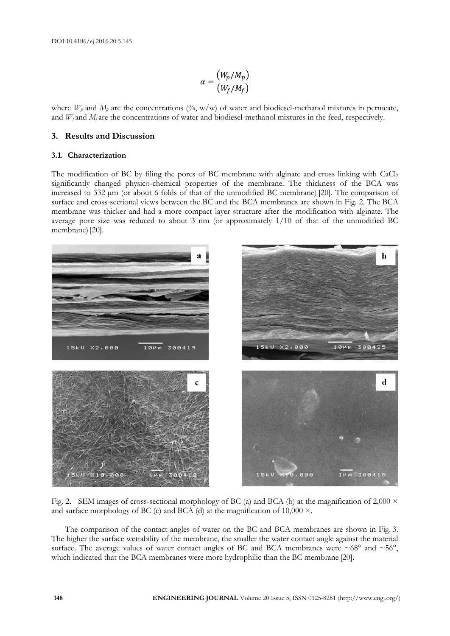$$
\alpha = \frac{(W_p/M_p)}{(W_f/M_f)}
$$

where  $W_p$  and  $M_p$  are the concentrations (%, w/w) of water and biodiesel-methanol mixtures in permeate, and  $W_f$  and  $M_f$  are the concentrations of water and biodiesel-methanol mixtures in the feed, respectively.

# **3. Results and Discussion**

#### **3.1. Characterization**

The modification of BC by filing the pores of BC membrane with alginate and cross linking with CaCl<sub>2</sub> significantly changed physico-chemical properties of the membrane. The thickness of the BCA was increased to 332 µm (or about 6 folds of that of the unmodified BC membrane) [20]. The comparison of surface and cross-sectional views between the BC and the BCA membranes are shown in Fig. 2. The BCA membrane was thicker and had a more compact layer structure after the modification with alginate. The average pore size was reduced to about 3 nm (or approximately 1/10 of that of the unmodified BC membrane) [20].



Fig. 2. SEM images of cross-sectional morphology of BC (a) and BCA (b) at the magnification of 2,000  $\times$ and surface morphology of BC (c) and BCA (d) at the magnification of  $10,000 \times$ .

The comparison of the contact angles of water on the BC and BCA membranes are shown in Fig. 3. The higher the surface wettability of the membrane, the smaller the water contact angle against the material surface. The average values of water contact angles of BC and BCA membranes were  $\sim 68^{\circ}$  and  $\sim 56^{\circ}$ , which indicated that the BCA membranes were more hydrophilic than the BC membrane [20].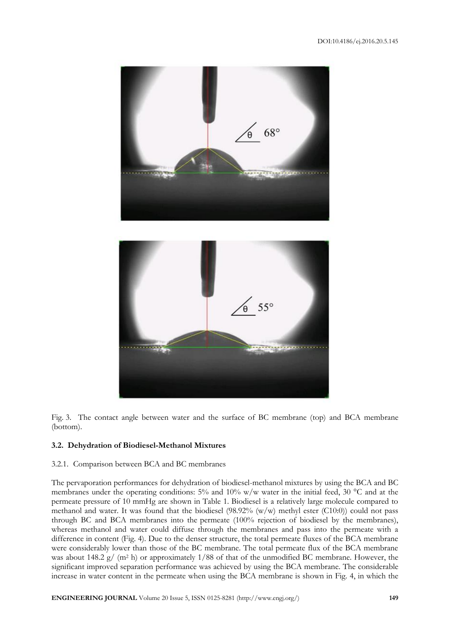



Fig. 3. The contact angle between water and the surface of BC membrane (top) and BCA membrane (bottom).

# **3.2. Dehydration of Biodiesel-Methanol Mixtures**

# 3.2.1. Comparison between BCA and BC membranes

The pervaporation performances for dehydration of biodiesel-methanol mixtures by using the BCA and BC membranes under the operating conditions: 5% and 10% w/w water in the initial feed, 30 °C and at the permeate pressure of 10 mmHg are shown in Table 1. Biodiesel is a relatively large molecule compared to methanol and water. It was found that the biodiesel  $(98.92\% (w/w)$  methyl ester  $(C10:0)$ ) could not pass through BC and BCA membranes into the permeate (100% rejection of biodiesel by the membranes), whereas methanol and water could diffuse through the membranes and pass into the permeate with a difference in content (Fig. 4). Due to the denser structure, the total permeate fluxes of the BCA membrane were considerably lower than those of the BC membrane. The total permeate flux of the BCA membrane was about 148.2 g/ (m<sup>2</sup> h) or approximately 1/88 of that of the unmodified BC membrane. However, the significant improved separation performance was achieved by using the BCA membrane. The considerable increase in water content in the permeate when using the BCA membrane is shown in Fig. 4, in which the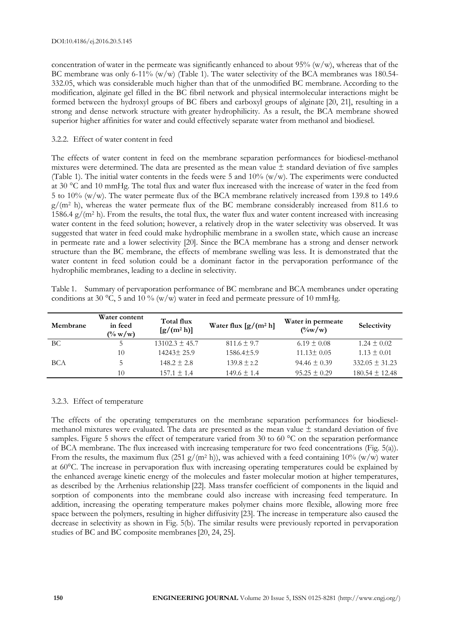concentration of water in the permeate was significantly enhanced to about  $95\%$  (w/w), whereas that of the BC membrane was only 6-11% (w/w) (Table 1). The water selectivity of the BCA membranes was 180.54-332.05, which was considerable much higher than that of the unmodified BC membrane. According to the modification, alginate gel filled in the BC fibril network and physical intermolecular interactions might be formed between the hydroxyl groups of BC fibers and carboxyl groups of alginate [20, 21], resulting in a strong and dense network structure with greater hydrophilicity. As a result, the BCA membrane showed superior higher affinities for water and could effectively separate water from methanol and biodiesel.

# 3.2.2. Effect of water content in feed

The effects of water content in feed on the membrane separation performances for biodiesel-methanol mixtures were determined. The data are presented as the mean value  $\pm$  standard deviation of five samples (Table 1). The initial water contents in the feeds were 5 and  $10\%$  (w/w). The experiments were conducted at 30 °C and 10 mmHg. The total flux and water flux increased with the increase of water in the feed from 5 to 10% (w/w). The water permeate flux of the BCA membrane relatively increased from 139.8 to 149.6  $g/(m^2 h)$ , whereas the water permeate flux of the BC membrane considerably increased from 811.6 to 1586.4  $g/(m^2 h)$ . From the results, the total flux, the water flux and water content increased with increasing water content in the feed solution; however, a relatively drop in the water selectivity was observed. It was suggested that water in feed could make hydrophilic membrane in a swollen state, which cause an increase in permeate rate and a lower selectivity [20]. Since the BCA membrane has a strong and denser network structure than the BC membrane, the effects of membrane swelling was less. It is demonstrated that the water content in feed solution could be a dominant factor in the pervaporation performance of the hydrophilic membranes, leading to a decline in selectivity.

|  |  | Table 1. Summary of pervaporation performance of BC membrane and BCA membranes under operating |  |  |  |
|--|--|------------------------------------------------------------------------------------------------|--|--|--|
|  |  | conditions at 30 °C, 5 and 10 % ( $w/w$ ) water in feed and permeate pressure of 10 mmHg.      |  |  |  |

| Membrane | Water content<br>in feed<br>$(\% w/w)$ | Total flux<br>$[g/(m^2 h)]$ | Water flux $[g/(m^2 h)]$ | Water in permeate<br>$(\frac{6}{W})$ | Selectivity        |
|----------|----------------------------------------|-----------------------------|--------------------------|--------------------------------------|--------------------|
| ВC       |                                        | $13102.3 \pm 45.7$          | $811.6 \pm 9.7$          | $6.19 \pm 0.08$                      | $1.24 \pm 0.02$    |
|          | 10                                     | $14243 \pm 25.9$            | $1586.4 \pm 5.9$         | $11.13 \pm 0.05$                     | $1.13 \pm 0.01$    |
| BCA      |                                        | $148.2 \pm 2.8$             | $139.8 \pm 2.2$          | $94.46 \pm 0.39$                     | $332.05 \pm 31.23$ |
|          | 10                                     | $157.1 \pm 1.4$             | $149.6 \pm 1.4$          | $95.25 \pm 0.29$                     | $180.54 \pm 12.48$ |

# 3.2.3. Effect of temperature

The effects of the operating temperatures on the membrane separation performances for biodieselmethanol mixtures were evaluated. The data are presented as the mean value  $\pm$  standard deviation of five samples. Figure 5 shows the effect of temperature varied from 30 to 60 °C on the separation performance of BCA membrane. The flux increased with increasing temperature for two feed concentrations (Fig. 5(a)). From the results, the maximum flux (251 g/(m<sup>2</sup> h)), was achieved with a feed containing 10% (w/w) water at 60°C. The increase in pervaporation flux with increasing operating temperatures could be explained by the enhanced average kinetic energy of the molecules and faster molecular motion at higher temperatures, as described by the Arrhenius relationship [22]. Mass transfer coefficient of components in the liquid and sorption of components into the membrane could also increase with increasing feed temperature. In addition, increasing the operating temperature makes polymer chains more flexible, allowing more free space between the polymers, resulting in higher diffusivity [23]. The increase in temperature also caused the decrease in selectivity as shown in Fig. 5(b). The similar results were previously reported in pervaporation studies of BC and BC composite membranes[20, 24, 25].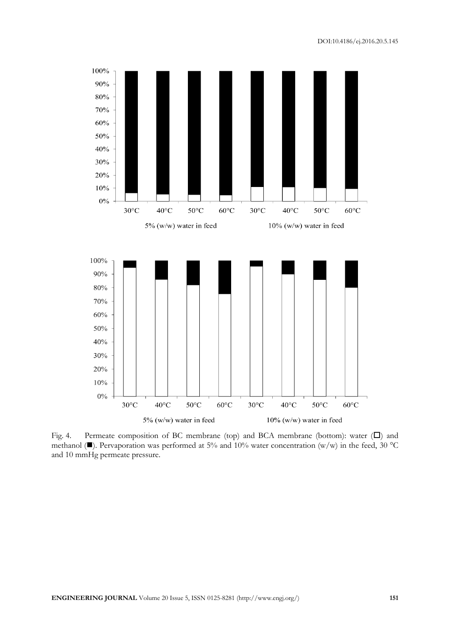

Fig. 4. Permeate composition of BC membrane (top) and BCA membrane (bottom): water  $(\Box)$  and methanol ( $\blacksquare$ ). Pervaporation was performed at 5% and 10% water concentration (w/w) in the feed, 30 °C and 10 mmHg permeate pressure.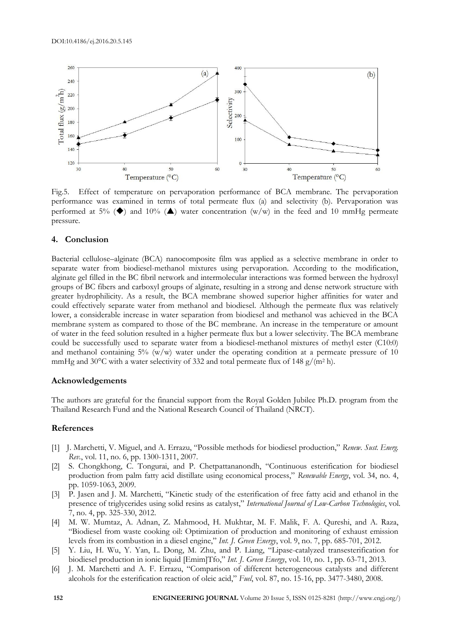

Fig.5. Effect of temperature on pervaporation performance of BCA membrane. The pervaporation performance was examined in terms of total permeate flux (a) and selectivity (b). Pervaporation was performed at 5% ( $\blacklozenge$ ) and 10% ( $\blacktriangle$ ) water concentration (w/w) in the feed and 10 mmHg permeate pressure.

# **4. Conclusion**

Bacterial cellulose–alginate (BCA) nanocomposite film was applied as a selective membrane in order to separate water from biodiesel-methanol mixtures using pervaporation. According to the modification, alginate gel filled in the BC fibril network and intermolecular interactions was formed between the hydroxyl groups of BC fibers and carboxyl groups of alginate, resulting in a strong and dense network structure with greater hydrophilicity. As a result, the BCA membrane showed superior higher affinities for water and could effectively separate water from methanol and biodiesel. Although the permeate flux was relatively lower, a considerable increase in water separation from biodiesel and methanol was achieved in the BCA membrane system as compared to those of the BC membrane. An increase in the temperature or amount of water in the feed solution resulted in a higher permeate flux but a lower selectivity. The BCA membrane could be successfully used to separate water from a biodiesel-methanol mixtures of methyl ester (C10:0) and methanol containing  $5\%$  (w/w) water under the operating condition at a permeate pressure of 10 mmHg and 30°C with a water selectivity of 332 and total permeate flux of 148  $g/(m^2 h)$ .

# **Acknowledgements**

The authors are grateful for the financial support from the Royal Golden Jubilee Ph.D. program from the Thailand Research Fund and the National Research Council of Thailand (NRCT).

# **References**

- [1] J. Marchetti, V. Miguel, and A. Errazu, "Possible methods for biodiesel production," *Renew. Sust. Energ. Rev.*, vol. 11, no. 6, pp. 1300-1311, 2007.
- [2] S. Chongkhong, C. Tongurai, and P. Chetpattananondh, "Continuous esterification for biodiesel production from palm fatty acid distillate using economical process," *Renewable Energy*, vol. 34, no. 4, pp. 1059-1063, 2009.
- [3] P. Jasen and J. M. Marchetti, "Kinetic study of the esterification of free fatty acid and ethanol in the presence of triglycerides using solid resins as catalyst," *International Journal of Low-Carbon Technologies*, vol. 7, no. 4, pp. 325-330, 2012.
- [4] M. W. Mumtaz, A. Adnan, Z. Mahmood, H. Mukhtar, M. F. Malik, F. A. Qureshi, and A. Raza, "Biodiesel from waste cooking oil: Optimization of production and monitoring of exhaust emission levels from its combustion in a diesel engine," *Int. J. Green Energy*, vol. 9, no. 7, pp. 685-701, 2012.
- [5] Y. Liu, H. Wu, Y. Yan, L. Dong, M. Zhu, and P. Liang, "Lipase-catalyzed transesterification for biodiesel production in ionic liquid [Emim]Tfo," *Int. J. Green Energy*, vol. 10, no. 1, pp. 63-71, 2013.
- [6] J. M. Marchetti and A. F. Errazu, "Comparison of different heterogeneous catalysts and different alcohols for the esterification reaction of oleic acid," *Fuel*, vol. 87, no. 15-16, pp. 3477-3480, 2008.